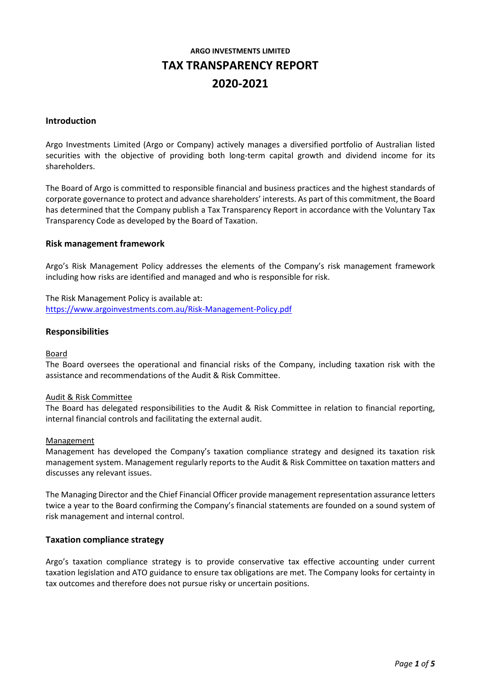# **ARGO INVESTMENTS LIMITED TAX TRANSPARENCY REPORT 2020-2021**

#### **Introduction**

Argo Investments Limited (Argo or Company) actively manages a diversified portfolio of Australian listed securities with the objective of providing both long-term capital growth and dividend income for its shareholders.

The Board of Argo is committed to responsible financial and business practices and the highest standards of corporate governance to protect and advance shareholders' interests. As part of this commitment, the Board has determined that the Company publish a Tax Transparency Report in accordance with the Voluntary Tax Transparency Code as developed by the Board of Taxation.

#### **Risk management framework**

Argo's Risk Management Policy addresses the elements of the Company's risk management framework including how risks are identified and managed and who is responsible for risk.

The Risk Management Policy is available at: [https://www.argoinvestments.com.au/Risk-Management-Policy.pdf](https://www.argoinvestments.com.au/assets/docs/asx-announcements/Risk-Management-Policy-ARG-final-approved-May19.pdf)

#### **Responsibilities**

#### Board

The Board oversees the operational and financial risks of the Company, including taxation risk with the assistance and recommendations of the Audit & Risk Committee.

#### Audit & Risk Committee

The Board has delegated responsibilities to the Audit & Risk Committee in relation to financial reporting, internal financial controls and facilitating the external audit.

#### Management

Management has developed the Company's taxation compliance strategy and designed its taxation risk management system. Management regularly reports to the Audit & Risk Committee on taxation matters and discusses any relevant issues.

The Managing Director and the Chief Financial Officer provide management representation assurance letters twice a year to the Board confirming the Company's financial statements are founded on a sound system of risk management and internal control.

#### **Taxation compliance strategy**

Argo's taxation compliance strategy is to provide conservative tax effective accounting under current taxation legislation and ATO guidance to ensure tax obligations are met. The Company looks for certainty in tax outcomes and therefore does not pursue risky or uncertain positions.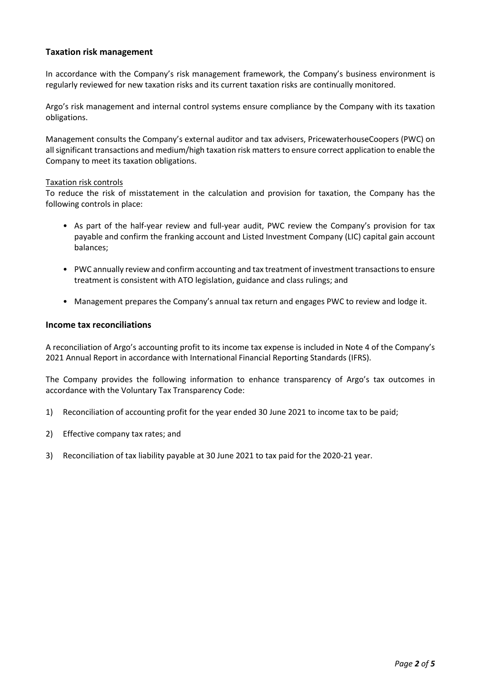## **Taxation risk management**

In accordance with the Company's risk management framework, the Company's business environment is regularly reviewed for new taxation risks and its current taxation risks are continually monitored.

Argo's risk management and internal control systems ensure compliance by the Company with its taxation obligations.

Management consults the Company's external auditor and tax advisers, PricewaterhouseCoopers (PWC) on all significant transactions and medium/high taxation risk matters to ensure correct application to enable the Company to meet its taxation obligations.

#### Taxation risk controls

To reduce the risk of misstatement in the calculation and provision for taxation, the Company has the following controls in place:

- As part of the half-year review and full-year audit, PWC review the Company's provision for tax payable and confirm the franking account and Listed Investment Company (LIC) capital gain account balances;
- PWC annually review and confirm accounting and tax treatment of investment transactions to ensure treatment is consistent with ATO legislation, guidance and class rulings; and
- Management prepares the Company's annual tax return and engages PWC to review and lodge it.

### **Income tax reconciliations**

A reconciliation of Argo's accounting profit to its income tax expense is included in Note 4 of the Company's 2021 Annual Report in accordance with International Financial Reporting Standards (IFRS).

The Company provides the following information to enhance transparency of Argo's tax outcomes in accordance with the Voluntary Tax Transparency Code:

- 1) Reconciliation of accounting profit for the year ended 30 June 2021 to income tax to be paid;
- 2) Effective company tax rates; and
- 3) Reconciliation of tax liability payable at 30 June 2021 to tax paid for the 2020-21 year.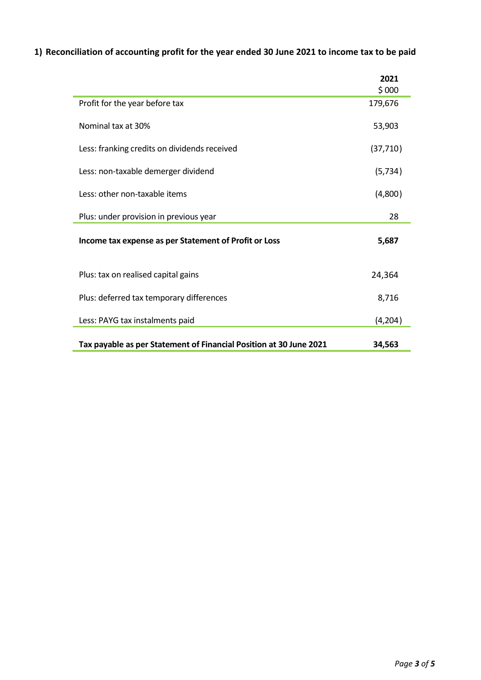**1) Reconciliation of accounting profit for the year ended 30 June 2021 to income tax to be paid**

|                                                                    | 2021      |
|--------------------------------------------------------------------|-----------|
|                                                                    | \$000     |
| Profit for the year before tax                                     | 179,676   |
| Nominal tax at 30%                                                 | 53,903    |
| Less: franking credits on dividends received                       | (37, 710) |
| Less: non-taxable demerger dividend                                | (5, 734)  |
| Less: other non-taxable items                                      | (4,800)   |
| Plus: under provision in previous year                             | 28        |
| Income tax expense as per Statement of Profit or Loss              | 5,687     |
| Plus: tax on realised capital gains                                | 24,364    |
| Plus: deferred tax temporary differences                           | 8,716     |
| Less: PAYG tax instalments paid                                    | (4,204)   |
| Tax payable as per Statement of Financial Position at 30 June 2021 | 34,563    |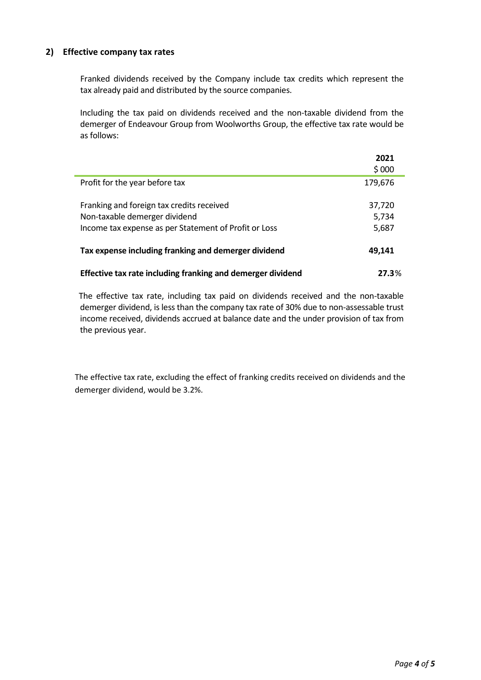## **2) Effective company tax rates**

Franked dividends received by the Company include tax credits which represent the tax already paid and distributed by the source companies.

Including the tax paid on dividends received and the non-taxable dividend from the demerger of Endeavour Group from Woolworths Group, the effective tax rate would be as follows:

|                                                             | 2021    |
|-------------------------------------------------------------|---------|
|                                                             | \$000   |
| Profit for the year before tax                              | 179,676 |
|                                                             |         |
| Franking and foreign tax credits received                   | 37,720  |
| Non-taxable demerger dividend                               | 5,734   |
| Income tax expense as per Statement of Profit or Loss       | 5,687   |
|                                                             |         |
| Tax expense including franking and demerger dividend        | 49,141  |
|                                                             |         |
| Effective tax rate including franking and demerger dividend | 27.3%   |

The effective tax rate, including tax paid on dividends received and the non-taxable demerger dividend, is less than the company tax rate of 30% due to non-assessable trust income received, dividends accrued at balance date and the under provision of tax from the previous year.

The effective tax rate, excluding the effect of franking credits received on dividends and the demerger dividend, would be 3.2%.